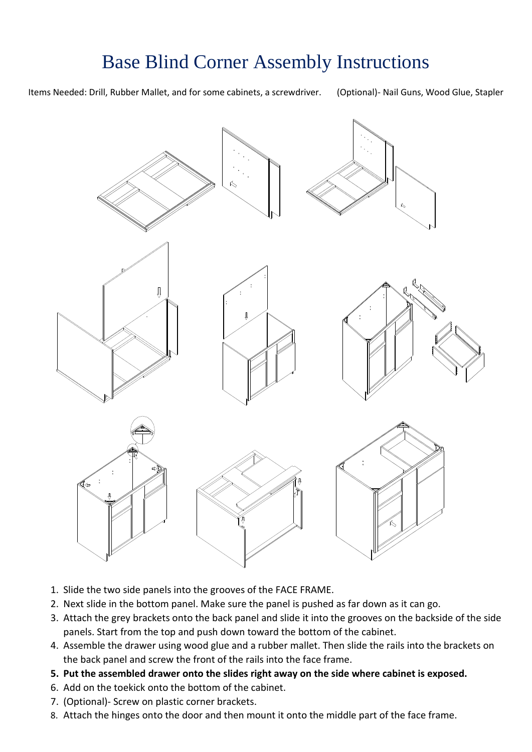# Base Blind Corner Assembly Instructions



- 1. Slide the two side panels into the grooves of the FACE FRAME.
- 2. Next slide in the bottom panel. Make sure the panel is pushed as far down as it can go.
- 3. Attach the grey brackets onto the back panel and slide it into the grooves on the backside of the side panels. Start from the top and push down toward the bottom of the cabinet.
- 4. Assemble the drawer using wood glue and a rubber mallet. Then slide the rails into the brackets on the back panel and screw the front of the rails into the face frame.
- **5. Put the assembled drawer onto the slides right away on the side where cabinet is exposed.**
- 6. Add on the toekick onto the bottom of the cabinet.
- 7. (Optional)- Screw on plastic corner brackets.
- 8. Attach the hinges onto the door and then mount it onto the middle part of the face frame.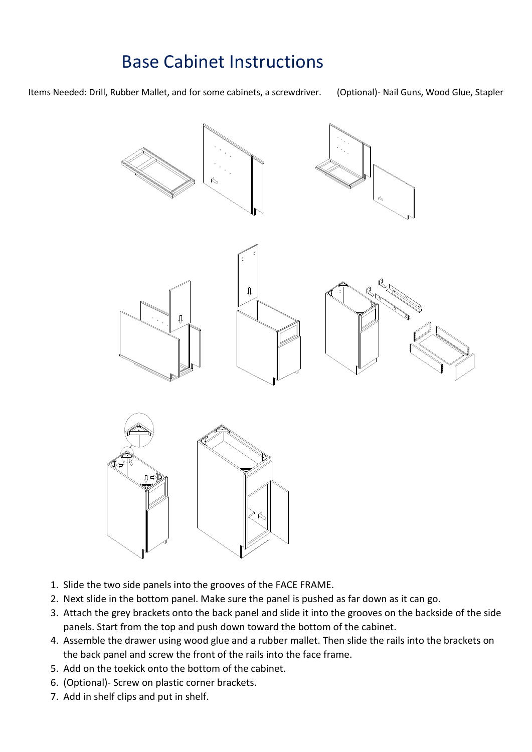### Base Cabinet Instructions



- 1. Slide the two side panels into the grooves of the FACE FRAME.
- 2. Next slide in the bottom panel. Make sure the panel is pushed as far down as it can go.
- 3. Attach the grey brackets onto the back panel and slide it into the grooves on the backside of the side panels. Start from the top and push down toward the bottom of the cabinet.
- 4. Assemble the drawer using wood glue and a rubber mallet. Then slide the rails into the brackets on the back panel and screw the front of the rails into the face frame.
- 5. Add on the toekick onto the bottom of the cabinet.
- 6. (Optional)- Screw on plastic corner brackets.
- 7. Add in shelf clips and put in shelf.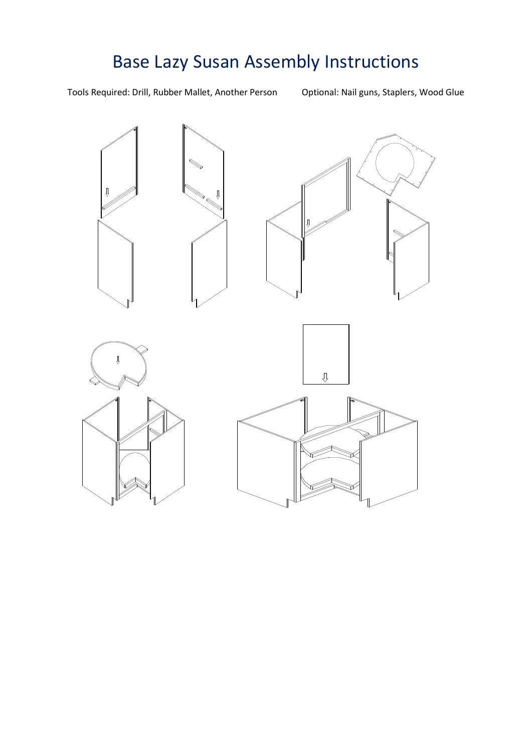# Base Lazy Susan Assembly Instructions

Tools Required: Drill, Rubber Mallet, Another Person Optional: Nail guns, Staplers, Wood Glue

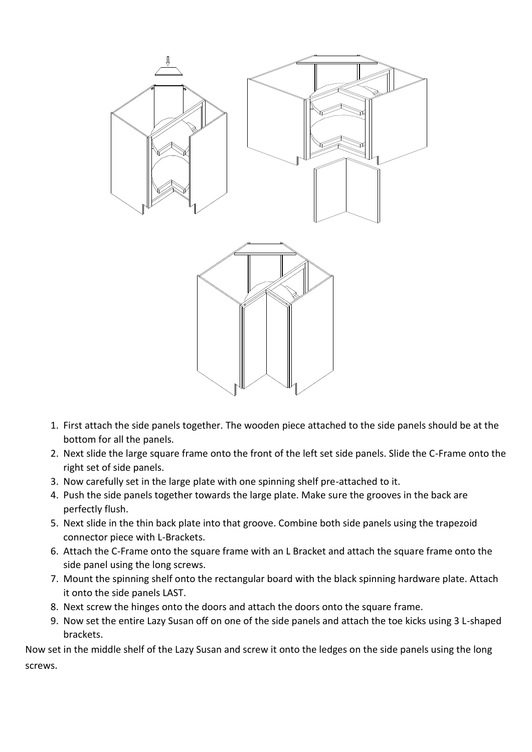

- 1. First attach the side panels together. The wooden piece attached to the side panels should be at the bottom for all the panels.
- 2. Next slide the large square frame onto the front of the left set side panels. Slide the C-Frame onto the right set of side panels.
- 3. Now carefully set in the large plate with one spinning shelf pre-attached to it.
- 4. Push the side panels together towards the large plate. Make sure the grooves in the back are perfectly flush.
- 5. Next slide in the thin back plate into that groove. Combine both side panels using the trapezoid connector piece with L-Brackets.
- 6. Attach the C-Frame onto the square frame with an L Bracket and attach the square frame onto the side panel using the long screws.
- 7. Mount the spinning shelf onto the rectangular board with the black spinning hardware plate. Attach it onto the side panels LAST.
- 8. Next screw the hinges onto the doors and attach the doors onto the square frame.
- 9. Now set the entire Lazy Susan off on one of the side panels and attach the toe kicks using 3 L-shaped brackets.

Now set in the middle shelf of the Lazy Susan and screw it onto the ledges on the side panels using the long screws.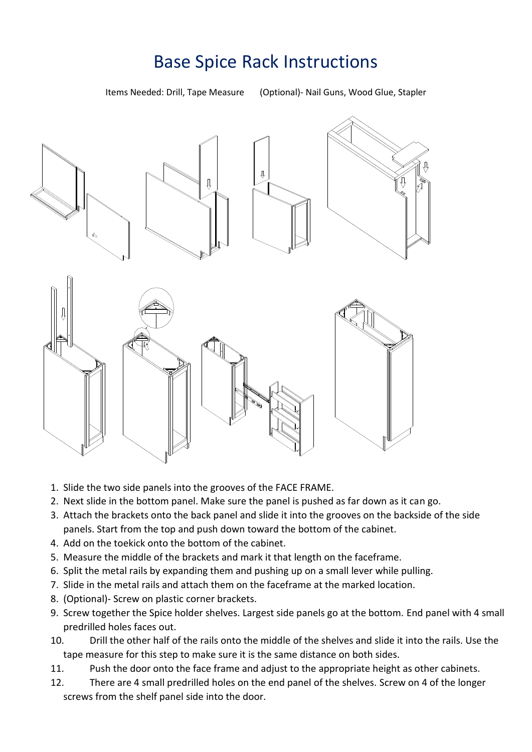#### Base Spice Rack Instructions

Items Needed: Drill, Tape Measure (Optional)- Nail Guns, Wood Glue, Stapler



- 1. Slide the two side panels into the grooves of the FACE FRAME.
- 2. Next slide in the bottom panel. Make sure the panel is pushed as far down as it can go.
- 3. Attach the brackets onto the back panel and slide it into the grooves on the backside of the side panels. Start from the top and push down toward the bottom of the cabinet.
- 4. Add on the toekick onto the bottom of the cabinet.
- 5. Measure the middle of the brackets and mark it that length on the faceframe.
- 6. Split the metal rails by expanding them and pushing up on a small lever while pulling.
- 7. Slide in the metal rails and attach them on the faceframe at the marked location.
- 8. (Optional)- Screw on plastic corner brackets.
- 9. Screw together the Spice holder shelves. Largest side panels go at the bottom. End panel with 4 small predrilled holes faces out.
- 10. Drill the other half of the rails onto the middle of the shelves and slide it into the rails. Use the tape measure for this step to make sure it is the same distance on both sides.
- 11. Push the door onto the face frame and adjust to the appropriate height as other cabinets.
- 12. There are 4 small predrilled holes on the end panel of the shelves. Screw on 4 of the longer screws from the shelf panel side into the door.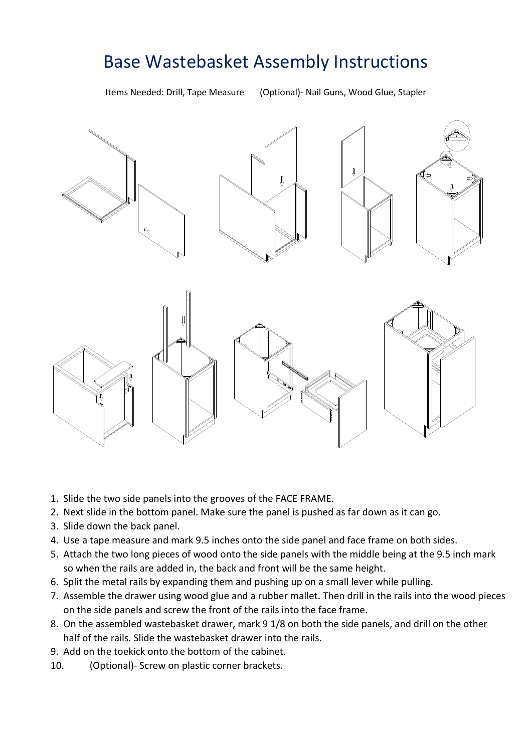#### Base Wastebasket Assembly Instructions

Items Needed: Drill, Tape Measure (Optional)- Nail Guns, Wood Glue, Stapler



- 1. Slide the two side panels into the grooves of the FACE FRAME.
- 2. Next slide in the bottom panel. Make sure the panel is pushed as far down as it can go.
- 3. Slide down the back panel.
- 4. Use a tape measure and mark 9.5 inches onto the side panel and face frame on both sides.
- 5. Attach the two long pieces of wood onto the side panels with the middle being at the 9.5 inch mark so when the rails are added in, the back and front will be the same height.
- 6. Split the metal rails by expanding them and pushing up on a small lever while pulling.
- 7. Assemble the drawer using wood glue and a rubber mallet. Then drill in the rails into the wood pieces on the side panels and screw the front of the rails into the face frame.
- 8. On the assembled wastebasket drawer, mark 9 1/8 on both the side panels, and drill on the other half of the rails. Slide the wastebasket drawer into the rails.
- 9. Add on the toekick onto the bottom of the cabinet.
- 10. (Optional)- Screw on plastic corner brackets.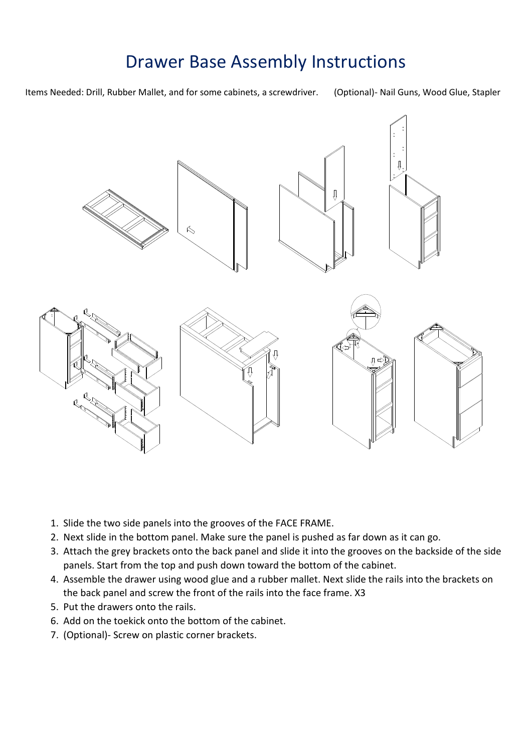#### Drawer Base Assembly Instructions



- 1. Slide the two side panels into the grooves of the FACE FRAME.
- 2. Next slide in the bottom panel. Make sure the panel is pushed as far down as it can go.
- 3. Attach the grey brackets onto the back panel and slide it into the grooves on the backside of the side panels. Start from the top and push down toward the bottom of the cabinet.
- 4. Assemble the drawer using wood glue and a rubber mallet. Next slide the rails into the brackets on the back panel and screw the front of the rails into the face frame. X3
- 5. Put the drawers onto the rails.
- 6. Add on the toekick onto the bottom of the cabinet.
- 7. (Optional)- Screw on plastic corner brackets.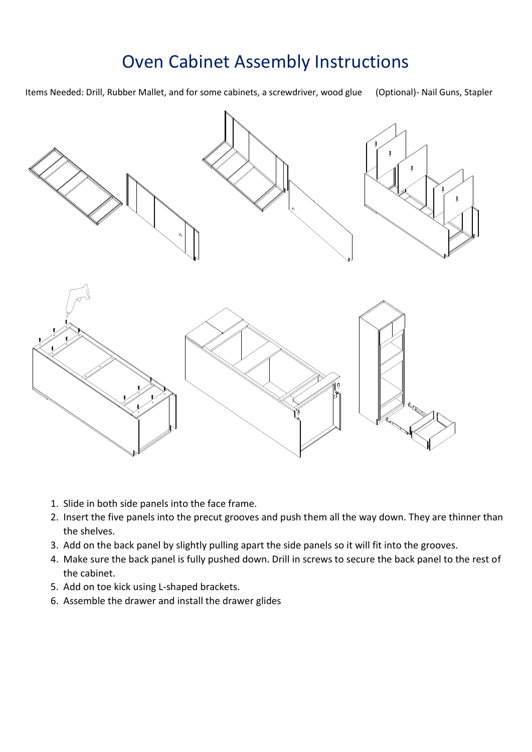### Oven Cabinet Assembly Instructions

Items Needed: Drill, Rubber Mallet, and for some cabinets, a screwdriver, wood glue (Optional)- Nail Guns, Stapler

- 1. Slide in both side panels into the face frame.
- 2. Insert the five panels into the precut grooves and push them all the way down. They are thinner than the shelves.
- 3. Add on the back panel by slightly pulling apart the side panels so it will fit into the grooves.
- 4. Make sure the back panel is fully pushed down. Drill in screws to secure the back panel to the rest of the cabinet.
- 5. Add on toe kick using L-shaped brackets.
- 6. Assemble the drawer and install the drawer glides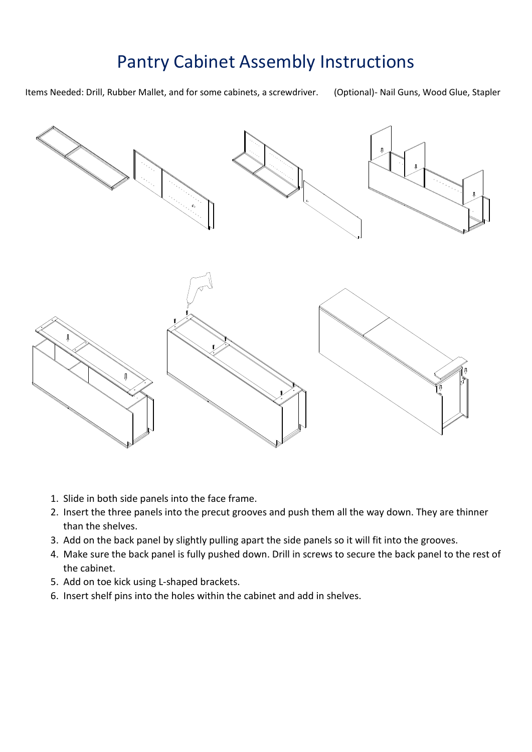## Pantry Cabinet Assembly Instructions



- 1. Slide in both side panels into the face frame.
- 2. Insert the three panels into the precut grooves and push them all the way down. They are thinner than the shelves.
- 3. Add on the back panel by slightly pulling apart the side panels so it will fit into the grooves.
- 4. Make sure the back panel is fully pushed down. Drill in screws to secure the back panel to the rest of the cabinet.
- 5. Add on toe kick using L-shaped brackets.
- 6. Insert shelf pins into the holes within the cabinet and add in shelves.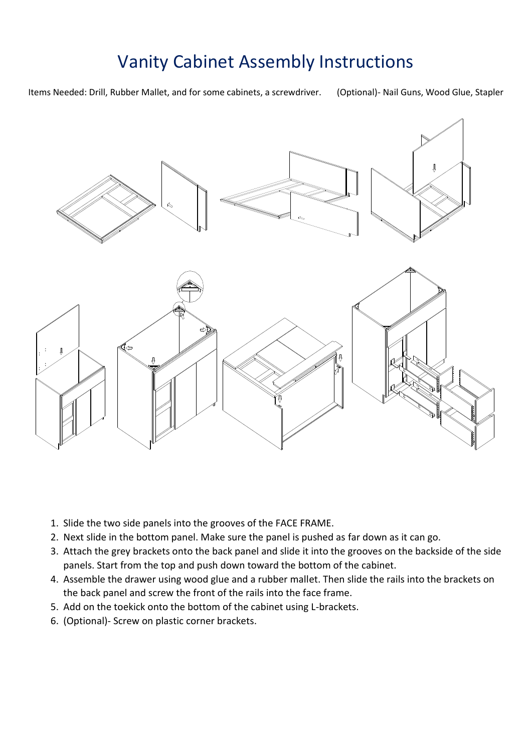## Vanity Cabinet Assembly Instructions



- 1. Slide the two side panels into the grooves of the FACE FRAME.
- 2. Next slide in the bottom panel. Make sure the panel is pushed as far down as it can go.
- 3. Attach the grey brackets onto the back panel and slide it into the grooves on the backside of the side panels. Start from the top and push down toward the bottom of the cabinet.
- 4. Assemble the drawer using wood glue and a rubber mallet. Then slide the rails into the brackets on the back panel and screw the front of the rails into the face frame.
- 5. Add on the toekick onto the bottom of the cabinet using L-brackets.
- 6. (Optional)- Screw on plastic corner brackets.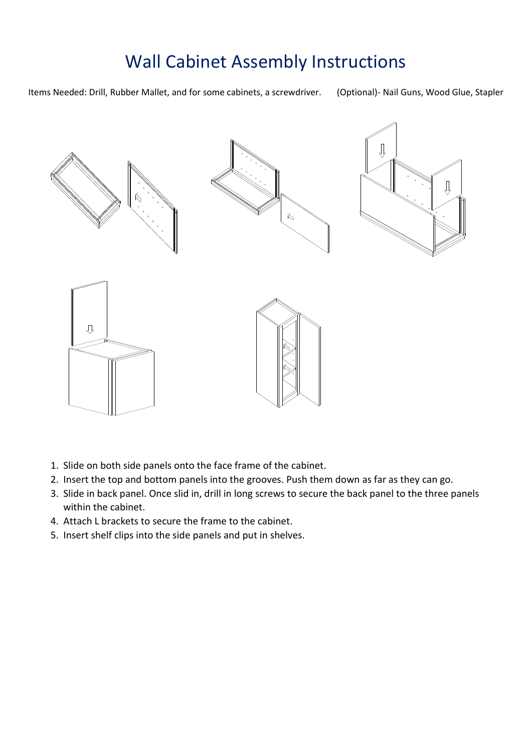## Wall Cabinet Assembly Instructions



- 1. Slide on both side panels onto the face frame of the cabinet.
- 2. Insert the top and bottom panels into the grooves. Push them down as far as they can go.
- 3. Slide in back panel. Once slid in, drill in long screws to secure the back panel to the three panels within the cabinet.
- 4. Attach L brackets to secure the frame to the cabinet.
- 5. Insert shelf clips into the side panels and put in shelves.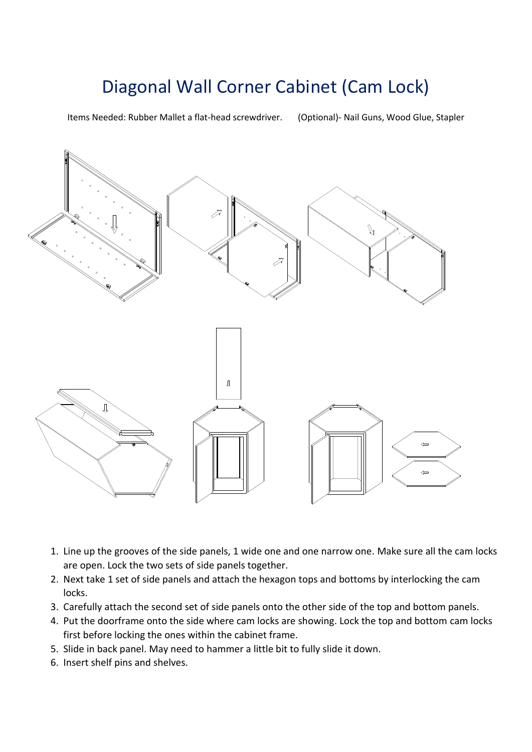# Diagonal Wall Corner Cabinet (Cam Lock)

Items Needed: Rubber Mallet a flat-head screwdriver. (Optional)- Nail Guns, Wood Glue, Stapler



- 1. Line up the grooves of the side panels, 1 wide one and one narrow one. Make sure all the cam locks are open. Lock the two sets of side panels together.
- 2. Next take 1 set of side panels and attach the hexagon tops and bottoms by interlocking the cam locks.
- 3. Carefully attach the second set of side panels onto the other side of the top and bottom panels.
- 4. Put the doorframe onto the side where cam locks are showing. Lock the top and bottom cam locks first before locking the ones within the cabinet frame.
- 5. Slide in back panel. May need to hammer a little bit to fully slide it down.
- 6. Insert shelf pins and shelves.